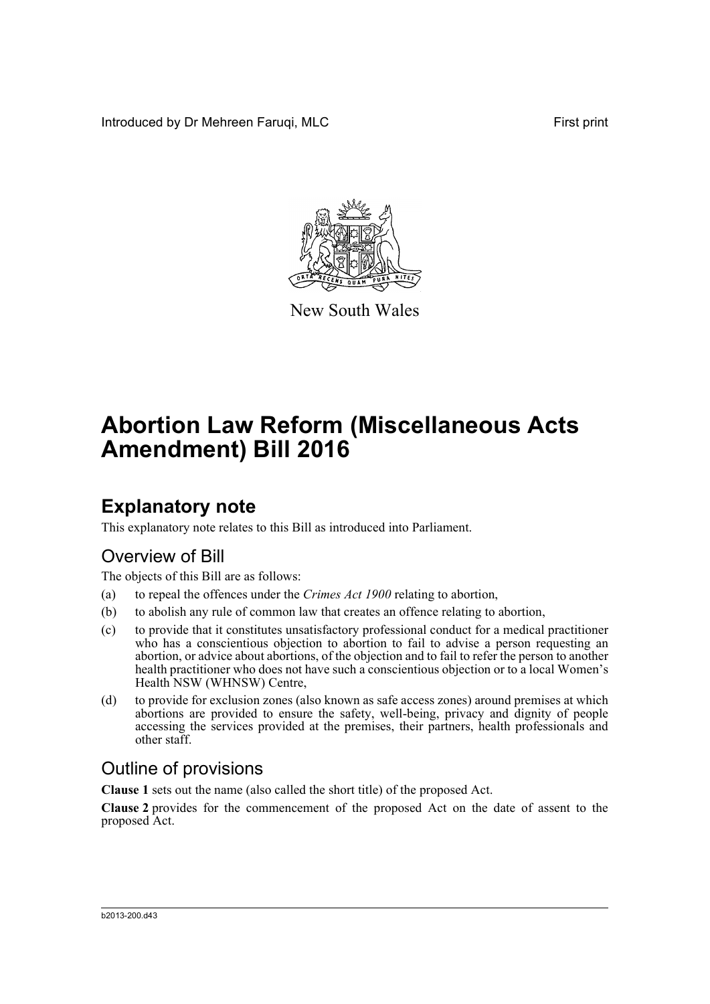Introduced by Dr Mehreen Faruqi, MLC First print



New South Wales

# **Abortion Law Reform (Miscellaneous Acts Amendment) Bill 2016**

## **Explanatory note**

This explanatory note relates to this Bill as introduced into Parliament.

## Overview of Bill

The objects of this Bill are as follows:

- (a) to repeal the offences under the *Crimes Act 1900* relating to abortion,
- (b) to abolish any rule of common law that creates an offence relating to abortion,
- (c) to provide that it constitutes unsatisfactory professional conduct for a medical practitioner who has a conscientious objection to abortion to fail to advise a person requesting an abortion, or advice about abortions, of the objection and to fail to refer the person to another health practitioner who does not have such a conscientious objection or to a local Women's Health NSW (WHNSW) Centre,
- (d) to provide for exclusion zones (also known as safe access zones) around premises at which abortions are provided to ensure the safety, well-being, privacy and dignity of people accessing the services provided at the premises, their partners, health professionals and other staff.

## Outline of provisions

**Clause 1** sets out the name (also called the short title) of the proposed Act.

**Clause 2** provides for the commencement of the proposed Act on the date of assent to the proposed Act.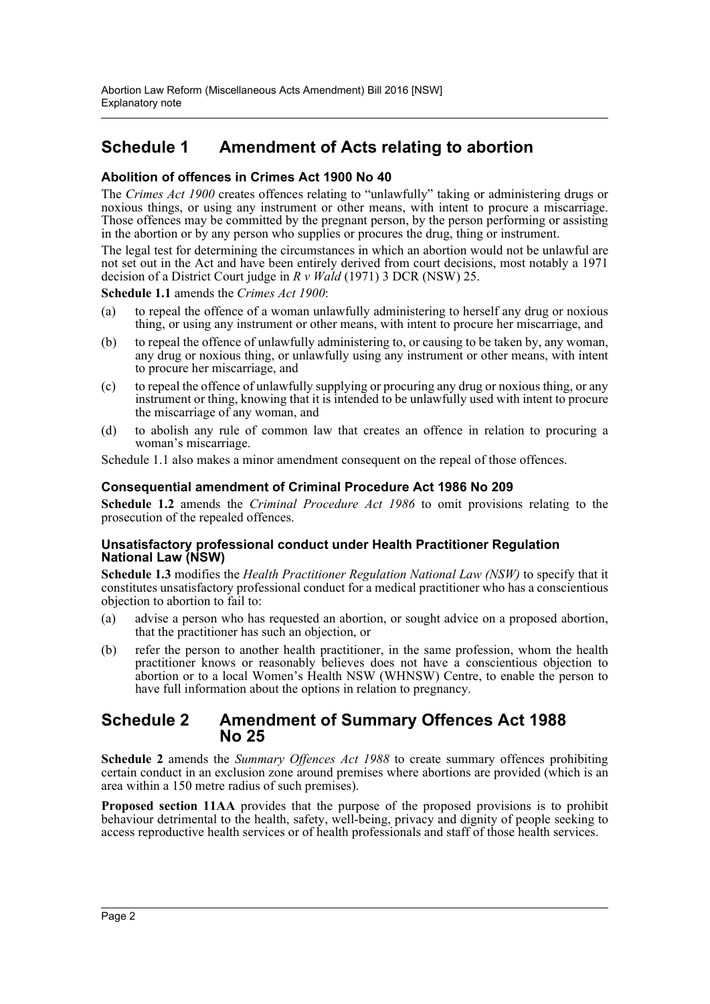### **Schedule 1 Amendment of Acts relating to abortion**

### **Abolition of offences in Crimes Act 1900 No 40**

The *Crimes Act 1900* creates offences relating to "unlawfully" taking or administering drugs or noxious things, or using any instrument or other means, with intent to procure a miscarriage. Those offences may be committed by the pregnant person, by the person performing or assisting in the abortion or by any person who supplies or procures the drug, thing or instrument.

The legal test for determining the circumstances in which an abortion would not be unlawful are not set out in the Act and have been entirely derived from court decisions, most notably a 1971 decision of a District Court judge in *R v Wald* (1971) 3 DCR (NSW) 25.

**Schedule 1.1** amends the *Crimes Act 1900*:

- (a) to repeal the offence of a woman unlawfully administering to herself any drug or noxious thing, or using any instrument or other means, with intent to procure her miscarriage, and
- (b) to repeal the offence of unlawfully administering to, or causing to be taken by, any woman, any drug or noxious thing, or unlawfully using any instrument or other means, with intent to procure her miscarriage, and
- (c) to repeal the offence of unlawfully supplying or procuring any drug or noxious thing, or any instrument or thing, knowing that it is intended to be unlawfully used with intent to procure the miscarriage of any woman, and
- (d) to abolish any rule of common law that creates an offence in relation to procuring a woman's miscarriage.

Schedule 1.1 also makes a minor amendment consequent on the repeal of those offences.

### **Consequential amendment of Criminal Procedure Act 1986 No 209**

**Schedule 1.2** amends the *Criminal Procedure Act 1986* to omit provisions relating to the prosecution of the repealed offences.

### **Unsatisfactory professional conduct under Health Practitioner Regulation National Law (NSW)**

**Schedule 1.3** modifies the *Health Practitioner Regulation National Law (NSW)* to specify that it constitutes unsatisfactory professional conduct for a medical practitioner who has a conscientious objection to abortion to fail to:

- (a) advise a person who has requested an abortion, or sought advice on a proposed abortion, that the practitioner has such an objection, or
- (b) refer the person to another health practitioner, in the same profession, whom the health practitioner knows or reasonably believes does not have a conscientious objection to abortion or to a local Women's Health NSW (WHNSW) Centre, to enable the person to have full information about the options in relation to pregnancy.

### **Schedule 2 Amendment of Summary Offences Act 1988 No 25**

**Schedule 2** amends the *Summary Offences Act 1988* to create summary offences prohibiting certain conduct in an exclusion zone around premises where abortions are provided (which is an area within a 150 metre radius of such premises).

**Proposed section 11AA** provides that the purpose of the proposed provisions is to prohibit behaviour detrimental to the health, safety, well-being, privacy and dignity of people seeking to access reproductive health services or of health professionals and staff of those health services.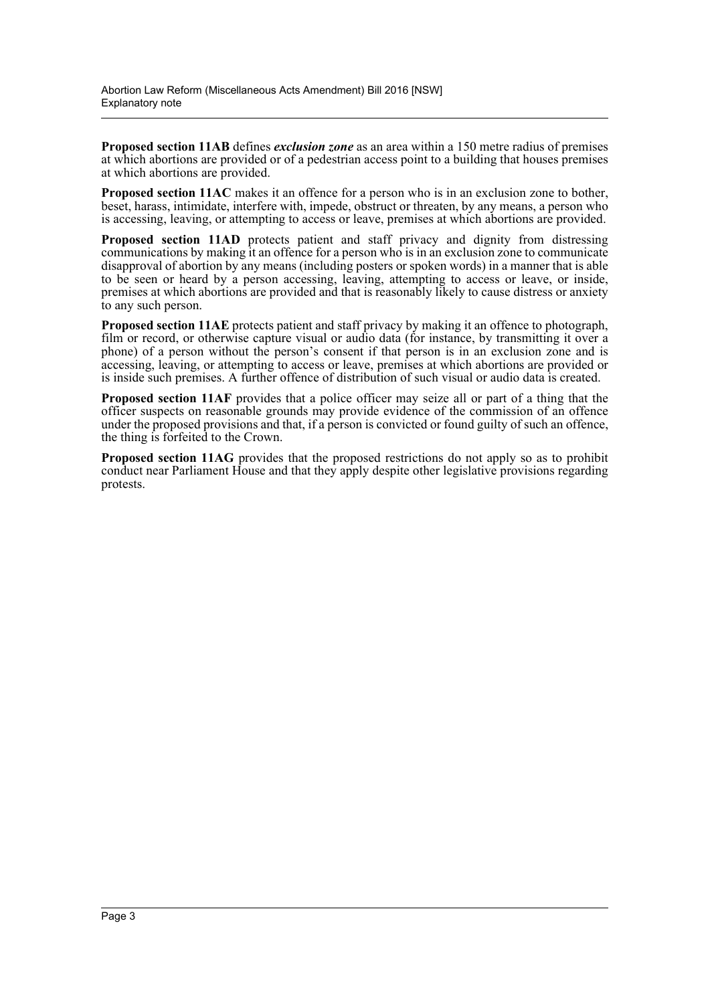**Proposed section 11AB** defines *exclusion zone* as an area within a 150 metre radius of premises at which abortions are provided or of a pedestrian access point to a building that houses premises at which abortions are provided.

**Proposed section 11AC** makes it an offence for a person who is in an exclusion zone to bother, beset, harass, intimidate, interfere with, impede, obstruct or threaten, by any means, a person who is accessing, leaving, or attempting to access or leave, premises at which abortions are provided.

Proposed section 11AD protects patient and staff privacy and dignity from distressing communications by making it an offence for a person who is in an exclusion zone to communicate disapproval of abortion by any means (including posters or spoken words) in a manner that is able to be seen or heard by a person accessing, leaving, attempting to access or leave, or inside, premises at which abortions are provided and that is reasonably likely to cause distress or anxiety to any such person.

**Proposed section 11AE** protects patient and staff privacy by making it an offence to photograph, film or record, or otherwise capture visual or audio data (for instance, by transmitting it over a phone) of a person without the person's consent if that person is in an exclusion zone and is accessing, leaving, or attempting to access or leave, premises at which abortions are provided or is inside such premises. A further offence of distribution of such visual or audio data is created.

**Proposed section 11AF** provides that a police officer may seize all or part of a thing that the officer suspects on reasonable grounds may provide evidence of the commission of an offence under the proposed provisions and that, if a person is convicted or found guilty of such an offence, the thing is forfeited to the Crown.

**Proposed section 11AG** provides that the proposed restrictions do not apply so as to prohibit conduct near Parliament House and that they apply despite other legislative provisions regarding protests.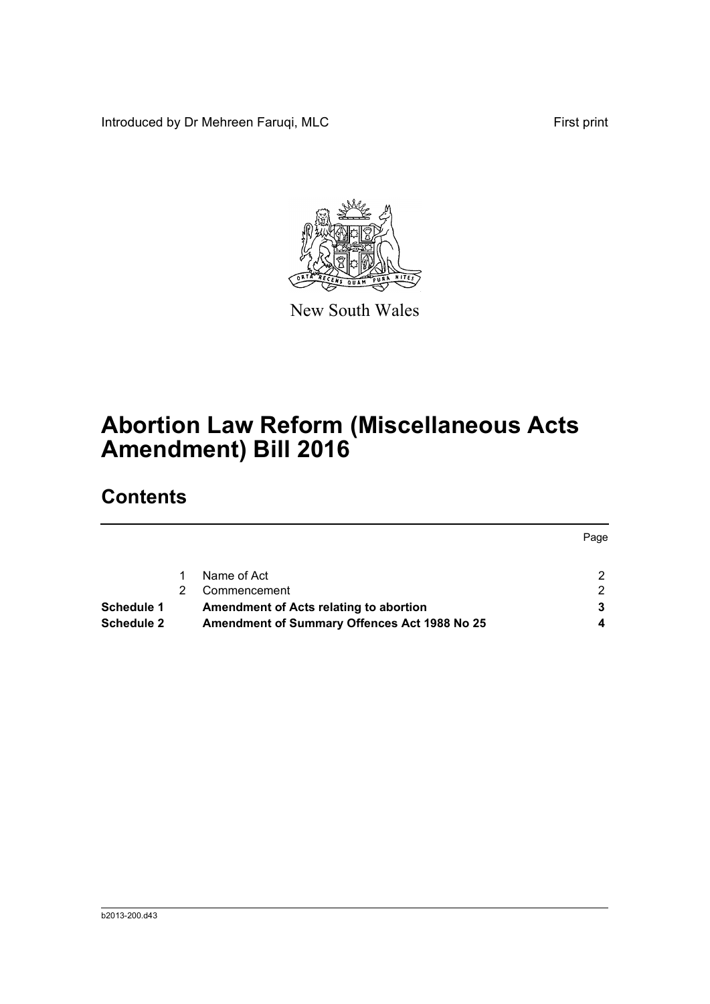Introduced by Dr Mehreen Faruqi, MLC First print



New South Wales

# **Abortion Law Reform (Miscellaneous Acts Amendment) Bill 2016**

## **Contents**

|                   |                                              | Page |
|-------------------|----------------------------------------------|------|
|                   | Name of Act                                  |      |
|                   | Commencement                                 | ົ    |
| Schedule 1        | Amendment of Acts relating to abortion       |      |
| <b>Schedule 2</b> | Amendment of Summary Offences Act 1988 No 25 |      |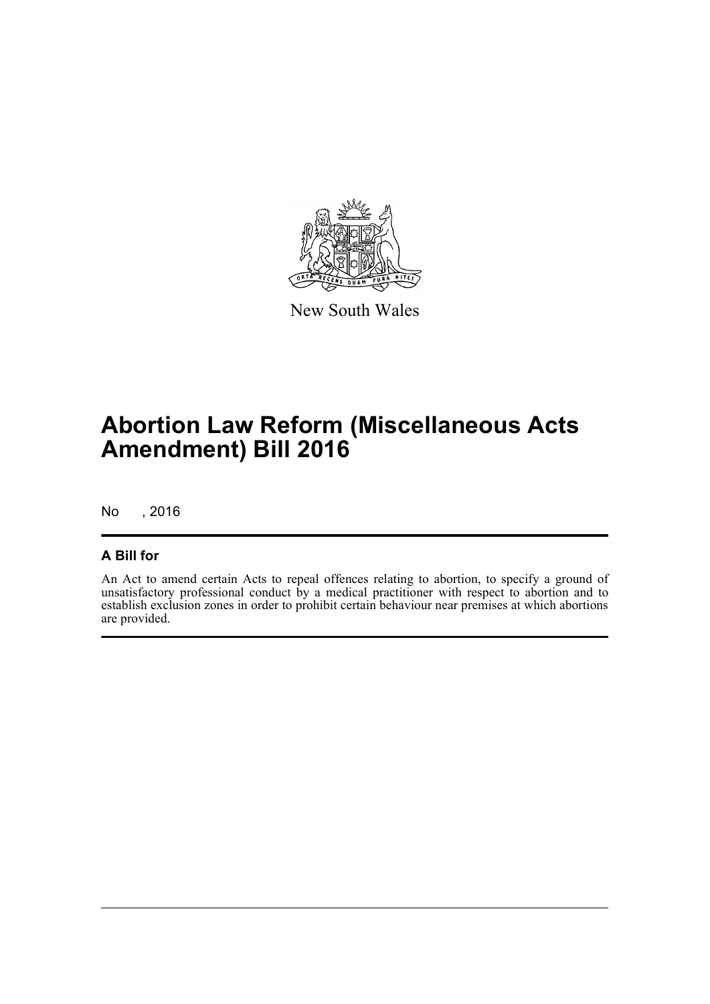

New South Wales

# **Abortion Law Reform (Miscellaneous Acts Amendment) Bill 2016**

No , 2016

### **A Bill for**

An Act to amend certain Acts to repeal offences relating to abortion, to specify a ground of unsatisfactory professional conduct by a medical practitioner with respect to abortion and to establish exclusion zones in order to prohibit certain behaviour near premises at which abortions are provided.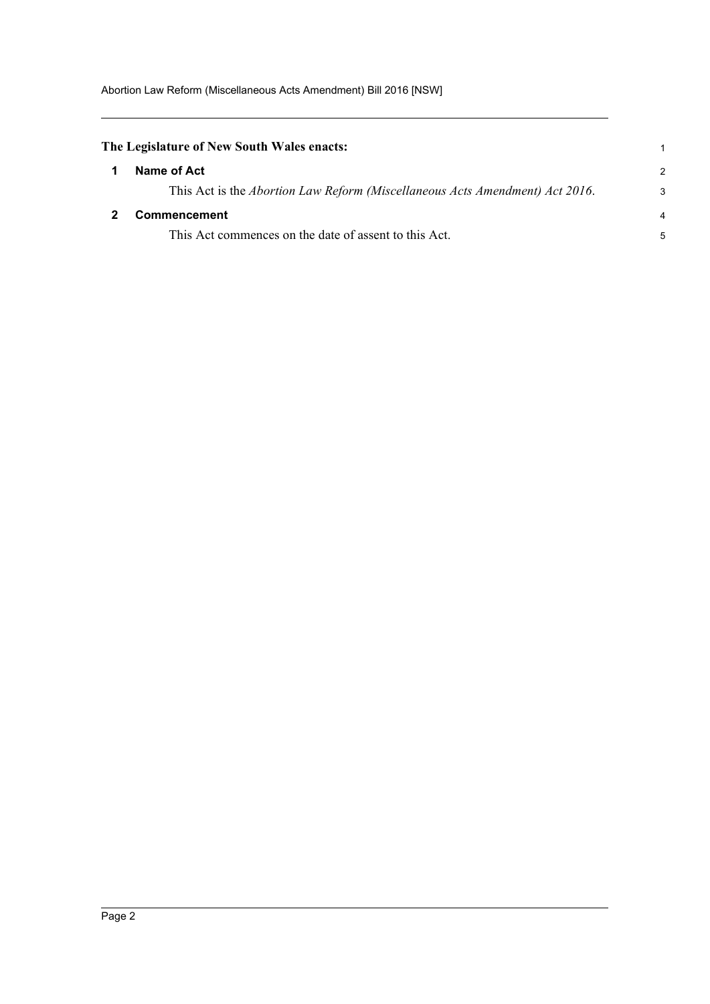<span id="page-5-1"></span><span id="page-5-0"></span>

| The Legislature of New South Wales enacts:                                   |               |
|------------------------------------------------------------------------------|---------------|
| Name of Act                                                                  | $\mathcal{P}$ |
| This Act is the Abortion Law Reform (Miscellaneous Acts Amendment) Act 2016. | 3             |
| Commencement                                                                 | 4             |
| This Act commences on the date of assent to this Act.                        | 5             |
|                                                                              |               |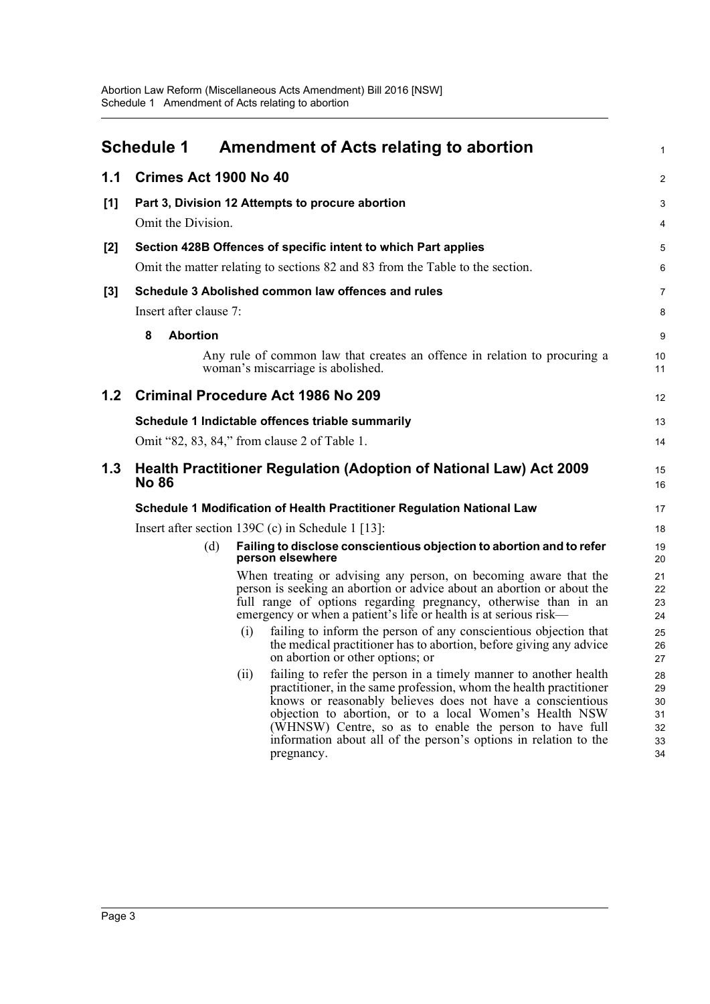<span id="page-6-0"></span>

|       | <b>Schedule 1</b>                                                                                                                               |      | Amendment of Acts relating to abortion                                                                                                                                                                                                                                                                                                                                                                       | 1                                      |
|-------|-------------------------------------------------------------------------------------------------------------------------------------------------|------|--------------------------------------------------------------------------------------------------------------------------------------------------------------------------------------------------------------------------------------------------------------------------------------------------------------------------------------------------------------------------------------------------------------|----------------------------------------|
| 1.1   | Crimes Act 1900 No 40                                                                                                                           |      |                                                                                                                                                                                                                                                                                                                                                                                                              | 2                                      |
| [1]   |                                                                                                                                                 |      | Part 3, Division 12 Attempts to procure abortion                                                                                                                                                                                                                                                                                                                                                             | 3                                      |
|       | Omit the Division.                                                                                                                              |      |                                                                                                                                                                                                                                                                                                                                                                                                              | 4                                      |
| $[2]$ | Section 428B Offences of specific intent to which Part applies<br>Omit the matter relating to sections 82 and 83 from the Table to the section. |      |                                                                                                                                                                                                                                                                                                                                                                                                              | 5<br>6                                 |
| $[3]$ | Insert after clause 7:                                                                                                                          |      | Schedule 3 Abolished common law offences and rules                                                                                                                                                                                                                                                                                                                                                           | 7<br>8                                 |
|       | 8<br><b>Abortion</b>                                                                                                                            |      |                                                                                                                                                                                                                                                                                                                                                                                                              | 9                                      |
|       |                                                                                                                                                 |      | Any rule of common law that creates an offence in relation to procuring a<br>woman's miscarriage is abolished.                                                                                                                                                                                                                                                                                               | 10<br>11                               |
| 1.2   |                                                                                                                                                 |      | <b>Criminal Procedure Act 1986 No 209</b>                                                                                                                                                                                                                                                                                                                                                                    | 12                                     |
|       |                                                                                                                                                 |      | Schedule 1 Indictable offences triable summarily                                                                                                                                                                                                                                                                                                                                                             | 13                                     |
|       |                                                                                                                                                 |      | Omit "82, 83, 84," from clause 2 of Table 1.                                                                                                                                                                                                                                                                                                                                                                 | 14                                     |
| 1.3   | <b>No 86</b>                                                                                                                                    |      | <b>Health Practitioner Regulation (Adoption of National Law) Act 2009</b>                                                                                                                                                                                                                                                                                                                                    | 15<br>16                               |
|       |                                                                                                                                                 |      | Schedule 1 Modification of Health Practitioner Regulation National Law                                                                                                                                                                                                                                                                                                                                       | 17                                     |
|       |                                                                                                                                                 |      | Insert after section 139C (c) in Schedule 1 [13]:                                                                                                                                                                                                                                                                                                                                                            | 18                                     |
|       |                                                                                                                                                 | (d)  | Failing to disclose conscientious objection to abortion and to refer<br>person elsewhere                                                                                                                                                                                                                                                                                                                     | 19<br>20                               |
|       |                                                                                                                                                 |      | When treating or advising any person, on becoming aware that the<br>person is seeking an abortion or advice about an abortion or about the<br>full range of options regarding pregnancy, otherwise than in an<br>emergency or when a patient's life or health is at serious risk-                                                                                                                            | 21<br>22<br>23<br>24                   |
|       |                                                                                                                                                 | (i)  | failing to inform the person of any conscientious objection that<br>the medical practitioner has to abortion, before giving any advice<br>on abortion or other options; or                                                                                                                                                                                                                                   | 25<br>26<br>27                         |
|       |                                                                                                                                                 | (ii) | failing to refer the person in a timely manner to another health<br>practitioner, in the same profession, whom the health practitioner<br>knows or reasonably believes does not have a conscientious<br>objection to abortion, or to a local Women's Health NSW<br>(WHNSW) Centre, so as to enable the person to have full<br>information about all of the person's options in relation to the<br>pregnancy. | 28<br>29<br>30<br>31<br>32<br>33<br>34 |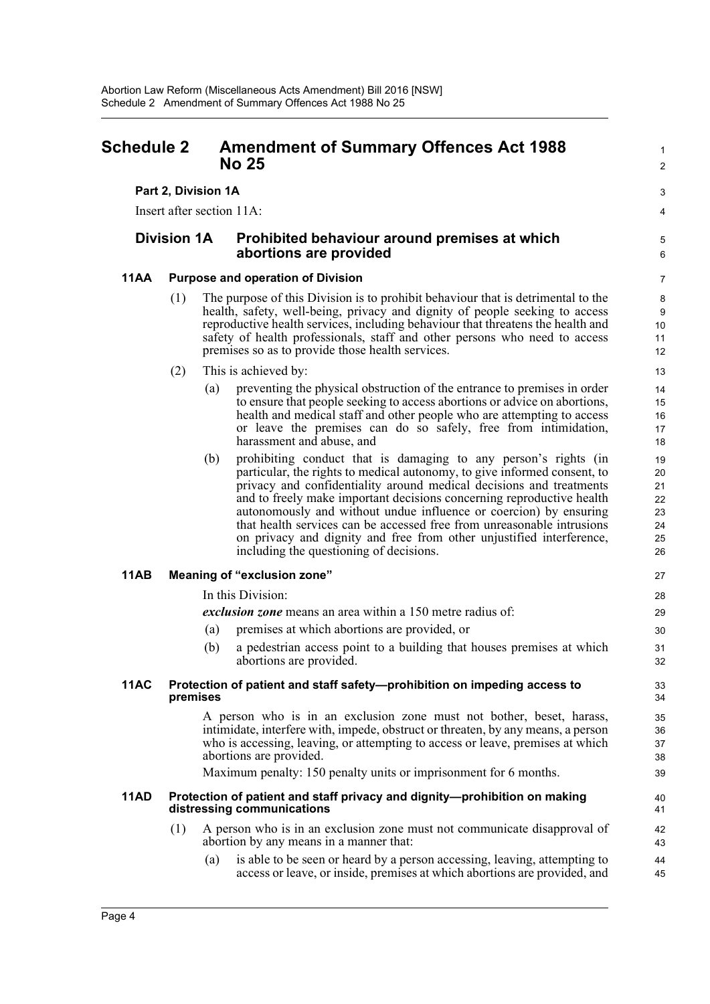### <span id="page-7-0"></span>**Schedule 2 Amendment of Summary Offences Act 1988 No 25**

### **Part 2, Division 1A**

Insert after section 11A:

### **Division 1A Prohibited behaviour around premises at which abortions are provided**

### **11AA Purpose and operation of Division**

- (1) The purpose of this Division is to prohibit behaviour that is detrimental to the health, safety, well-being, privacy and dignity of people seeking to access reproductive health services, including behaviour that threatens the health and safety of health professionals, staff and other persons who need to access premises so as to provide those health services.
- (2) This is achieved by:
	- (a) preventing the physical obstruction of the entrance to premises in order to ensure that people seeking to access abortions or advice on abortions, health and medical staff and other people who are attempting to access or leave the premises can do so safely, free from intimidation, harassment and abuse, and

1  $\mathcal{L}$ 

3 4

5 6

(b) prohibiting conduct that is damaging to any person's rights (in particular, the rights to medical autonomy, to give informed consent, to privacy and confidentiality around medical decisions and treatments and to freely make important decisions concerning reproductive health autonomously and without undue influence or coercion) by ensuring that health services can be accessed free from unreasonable intrusions on privacy and dignity and free from other unjustified interference, including the questioning of decisions.

### **11AB Meaning of "exclusion zone"**

In this Division:

*exclusion zone* means an area within a 150 metre radius of:

- (a) premises at which abortions are provided, or
- (b) a pedestrian access point to a building that houses premises at which abortions are provided.

#### **11AC Protection of patient and staff safety—prohibition on impeding access to premises**

A person who is in an exclusion zone must not bother, beset, harass, intimidate, interfere with, impede, obstruct or threaten, by any means, a person who is accessing, leaving, or attempting to access or leave, premises at which abortions are provided.

Maximum penalty: 150 penalty units or imprisonment for 6 months.

#### **11AD Protection of patient and staff privacy and dignity—prohibition on making distressing communications**

- (1) A person who is in an exclusion zone must not communicate disapproval of abortion by any means in a manner that:
	- (a) is able to be seen or heard by a person accessing, leaving, attempting to access or leave, or inside, premises at which abortions are provided, and 44 45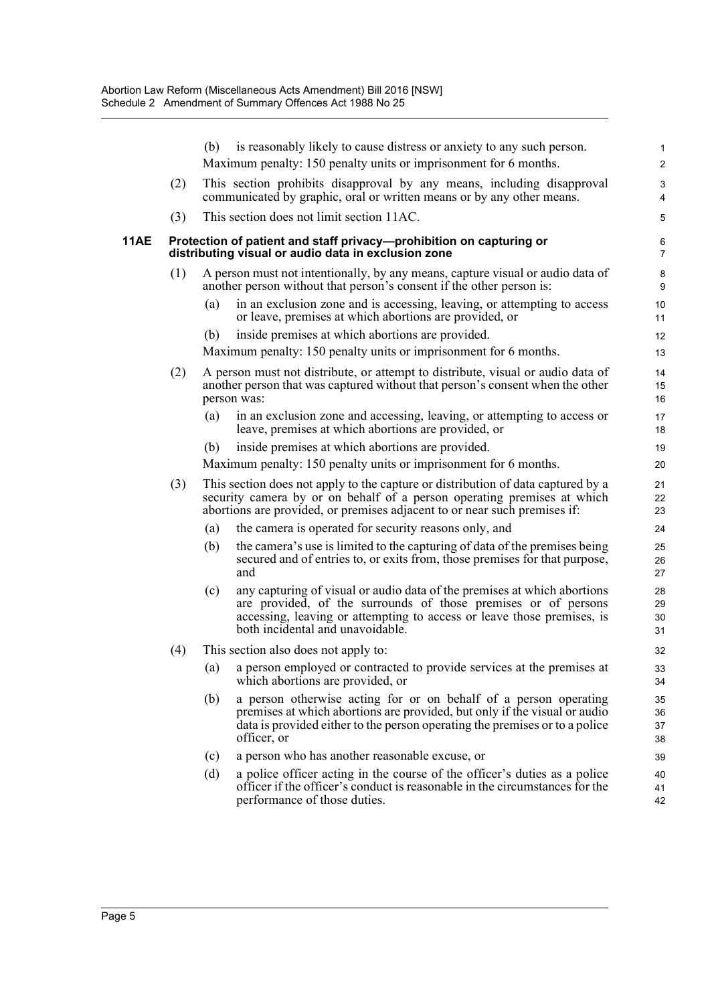|      |                                                                                                                                                               | is reasonably likely to cause distress or anxiety to any such person.<br>(b)<br>Maximum penalty: 150 penalty units or imprisonment for 6 months.                                                                                                                | 1<br>$\overline{c}$  |
|------|---------------------------------------------------------------------------------------------------------------------------------------------------------------|-----------------------------------------------------------------------------------------------------------------------------------------------------------------------------------------------------------------------------------------------------------------|----------------------|
|      | (2)                                                                                                                                                           | This section prohibits disapproval by any means, including disapproval<br>communicated by graphic, oral or written means or by any other means.                                                                                                                 | 3<br>4               |
|      | (3)                                                                                                                                                           | This section does not limit section 11AC.                                                                                                                                                                                                                       | 5                    |
| 11AE |                                                                                                                                                               | Protection of patient and staff privacy-prohibition on capturing or<br>distributing visual or audio data in exclusion zone                                                                                                                                      | 6<br>$\overline{7}$  |
|      | (1)<br>A person must not intentionally, by any means, capture visual or audio data of<br>another person without that person's consent if the other person is: |                                                                                                                                                                                                                                                                 | 8<br>9               |
|      |                                                                                                                                                               | in an exclusion zone and is accessing, leaving, or attempting to access<br>(a)<br>or leave, premises at which abortions are provided, or                                                                                                                        | 10<br>11             |
|      |                                                                                                                                                               | inside premises at which abortions are provided.<br>(b)<br>Maximum penalty: 150 penalty units or imprisonment for 6 months.                                                                                                                                     | 12<br>13             |
|      | (2)                                                                                                                                                           | A person must not distribute, or attempt to distribute, visual or audio data of<br>another person that was captured without that person's consent when the other<br>person was:                                                                                 | 14<br>15<br>16       |
|      |                                                                                                                                                               | in an exclusion zone and accessing, leaving, or attempting to access or<br>(a)<br>leave, premises at which abortions are provided, or                                                                                                                           | 17<br>18             |
|      |                                                                                                                                                               | inside premises at which abortions are provided.<br>(b)<br>Maximum penalty: 150 penalty units or imprisonment for 6 months.                                                                                                                                     | 19<br>20             |
|      | (3)                                                                                                                                                           | This section does not apply to the capture or distribution of data captured by a<br>security camera by or on behalf of a person operating premises at which<br>abortions are provided, or premises adjacent to or near such premises if:                        | 21<br>22<br>23       |
|      |                                                                                                                                                               | the camera is operated for security reasons only, and<br>(a)                                                                                                                                                                                                    | 24                   |
|      |                                                                                                                                                               | the camera's use is limited to the capturing of data of the premises being<br>(b)<br>secured and of entries to, or exits from, those premises for that purpose,<br>and                                                                                          | 25<br>26<br>27       |
|      |                                                                                                                                                               | any capturing of visual or audio data of the premises at which abortions<br>(c)<br>are provided, of the surrounds of those premises or of persons<br>accessing, leaving or attempting to access or leave those premises, is<br>both incidental and unavoidable. | 28<br>29<br>30<br>31 |
|      | (4)                                                                                                                                                           | This section also does not apply to:                                                                                                                                                                                                                            | 32                   |
|      |                                                                                                                                                               | a person employed or contracted to provide services at the premises at<br>(a)<br>which abortions are provided, or                                                                                                                                               | 33<br>34             |
|      |                                                                                                                                                               | a person otherwise acting for or on behalf of a person operating<br>(b)<br>premises at which abortions are provided, but only if the visual or audio<br>data is provided either to the person operating the premises or to a police<br>officer, or              | 35<br>36<br>37<br>38 |
|      |                                                                                                                                                               | a person who has another reasonable excuse, or<br>(c)                                                                                                                                                                                                           | 39                   |
|      |                                                                                                                                                               | a police officer acting in the course of the officer's duties as a police<br>(d)<br>officer if the officer's conduct is reasonable in the circumstances for the<br>performance of those duties.                                                                 | 40<br>41<br>42       |